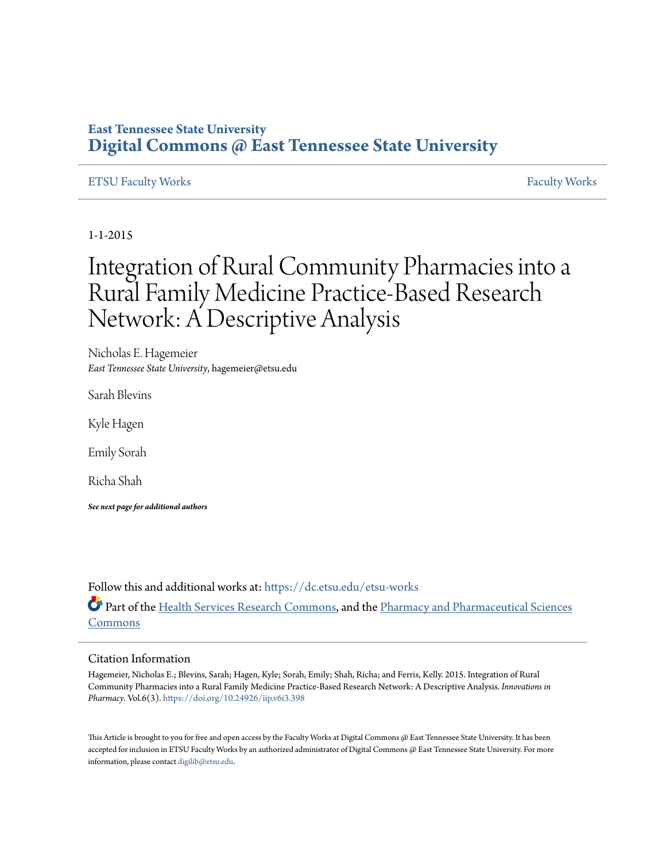### **East Tennessee State University [Digital Commons @ East Tennessee State University](https://dc.etsu.edu?utm_source=dc.etsu.edu%2Fetsu-works%2F1476&utm_medium=PDF&utm_campaign=PDFCoverPages)**

#### [ETSU Faculty Works](https://dc.etsu.edu/etsu-works?utm_source=dc.etsu.edu%2Fetsu-works%2F1476&utm_medium=PDF&utm_campaign=PDFCoverPages) [Faculty Works](https://dc.etsu.edu/faculty-works?utm_source=dc.etsu.edu%2Fetsu-works%2F1476&utm_medium=PDF&utm_campaign=PDFCoverPages) Faculty Works Faculty Works Faculty Works Faculty Works Faculty Works Faculty Works Faculty Morks Faculty Morks Faculty Morks Faculty Morks Faculty Morks Faculty Morks Faculty Morks Faculty

1-1-2015

# Integration of Rural Community Pharmacies into a Rural Family Medicine Practice-Based Research Network: A Descriptive Analysis

Nicholas E. Hagemeier *East Tennessee State University*, hagemeier@etsu.edu

Sarah Blevins

Kyle Hagen

Emily Sorah

Richa Shah

*See next page for additional authors*

Follow this and additional works at: [https://dc.etsu.edu/etsu-works](https://dc.etsu.edu/etsu-works?utm_source=dc.etsu.edu%2Fetsu-works%2F1476&utm_medium=PDF&utm_campaign=PDFCoverPages)

Part of the [Health Services Research Commons](http://network.bepress.com/hgg/discipline/816?utm_source=dc.etsu.edu%2Fetsu-works%2F1476&utm_medium=PDF&utm_campaign=PDFCoverPages), and the [Pharmacy and Pharmaceutical Sciences](http://network.bepress.com/hgg/discipline/731?utm_source=dc.etsu.edu%2Fetsu-works%2F1476&utm_medium=PDF&utm_campaign=PDFCoverPages) [Commons](http://network.bepress.com/hgg/discipline/731?utm_source=dc.etsu.edu%2Fetsu-works%2F1476&utm_medium=PDF&utm_campaign=PDFCoverPages)

#### Citation Information

Hagemeier, Nicholas E.; Blevins, Sarah; Hagen, Kyle; Sorah, Emily; Shah, Richa; and Ferris, Kelly. 2015. Integration of Rural Community Pharmacies into a Rural Family Medicine Practice-Based Research Network: A Descriptive Analysis. *Innovations in Pharmacy*. Vol.6(3). <https://doi.org/10.24926/iip.v6i3.398>

This Article is brought to you for free and open access by the Faculty Works at Digital Commons @ East Tennessee State University. It has been accepted for inclusion in ETSU Faculty Works by an authorized administrator of Digital Commons @ East Tennessee State University. For more information, please contact [digilib@etsu.edu.](mailto:digilib@etsu.edu)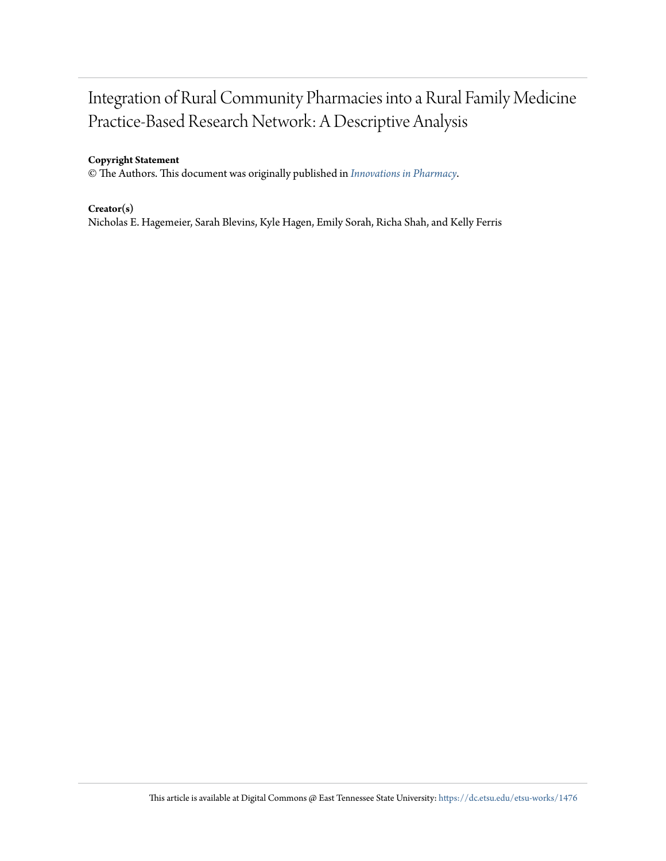## Integration of Rural Community Pharmacies into a Rural Family Medicine Practice-Based Research Network: A Descriptive Analysis

#### **Copyright Statement**

© The Authors. This document was originally published in *[Innovations in Pharmacy](https://doi.org/10.24926/iip.v6i3.398)*.

#### **Creator(s)**

Nicholas E. Hagemeier, Sarah Blevins, Kyle Hagen, Emily Sorah, Richa Shah, and Kelly Ferris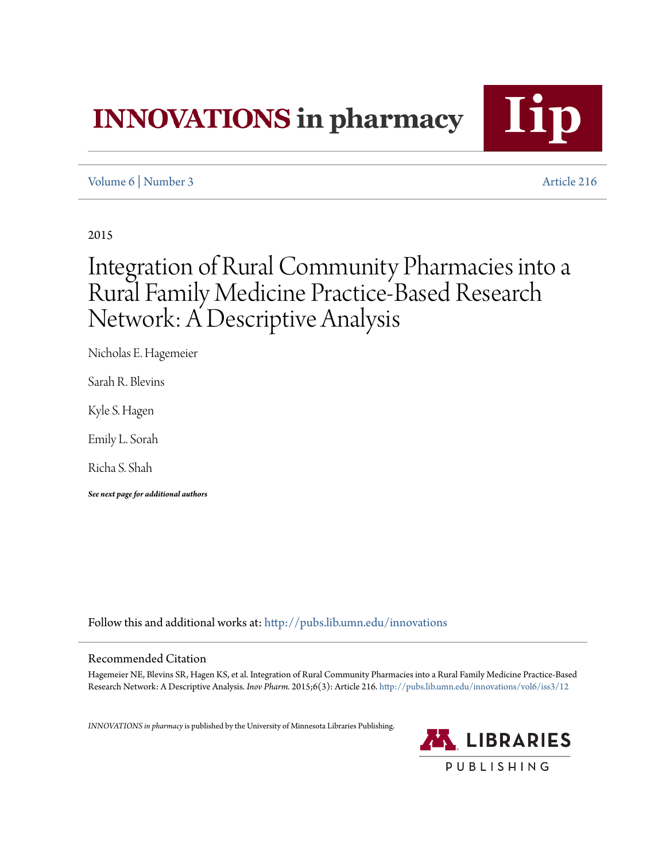# **INNOVATIONS** in pharmacy



### [Volume 6](http://pubs.lib.umn.edu/innovations/vol6?utm_source=pubs.lib.umn.edu%2Finnovations%2Fvol6%2Fiss3%2F12&utm_medium=PDF&utm_campaign=PDFCoverPages) | [Number 3](http://pubs.lib.umn.edu/innovations/vol6/iss3?utm_source=pubs.lib.umn.edu%2Finnovations%2Fvol6%2Fiss3%2F12&utm_medium=PDF&utm_campaign=PDFCoverPages) [Article 216](http://pubs.lib.umn.edu/innovations/vol6/iss3/12?utm_source=pubs.lib.umn.edu%2Finnovations%2Fvol6%2Fiss3%2F12&utm_medium=PDF&utm_campaign=PDFCoverPages)

2015

# Integration of Rural Community Pharmacies into a Rural Family Medicine Practice-Based Research Network: A Descriptive Analysis

Nicholas E. Hagemeier

Sarah R. Blevins

Kyle S. Hagen

Emily L. Sorah

Richa S. Shah

*See next page for additional authors*

Follow this and additional works at: [http://pubs.lib.umn.edu/innovations](http://pubs.lib.umn.edu/innovations?utm_source=pubs.lib.umn.edu%2Finnovations%2Fvol6%2Fiss3%2F12&utm_medium=PDF&utm_campaign=PDFCoverPages)

#### Recommended Citation

Hagemeier NE, Blevins SR, Hagen KS, et al. Integration of Rural Community Pharmacies into a Rural Family Medicine Practice-Based Research Network: A Descriptive Analysis. *Inov Pharm.* 2015;6(3): Article 216. [http://pubs.lib.umn.edu/innovations/vol6/iss3/12](http://pubs.lib.umn.edu/innovations/vol6/iss3/12?utm_source=pubs.lib.umn.edu%2Finnovations%2Fvol6%2Fiss3%2F12&utm_medium=PDF&utm_campaign=PDFCoverPages)

*INNOVATIONS in pharmacy*is published by the University of Minnesota Libraries Publishing.

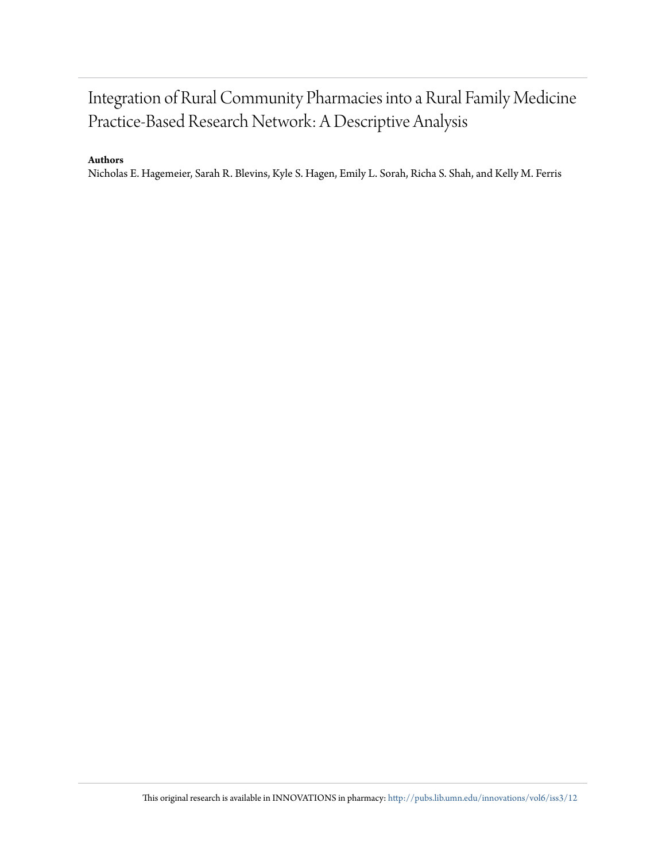## Integration of Rural Community Pharmacies into a Rural Family Medicine Practice-Based Research Network: A Descriptive Analysis

#### **Authors**

Nicholas E. Hagemeier, Sarah R. Blevins, Kyle S. Hagen, Emily L. Sorah, Richa S. Shah, and Kelly M. Ferris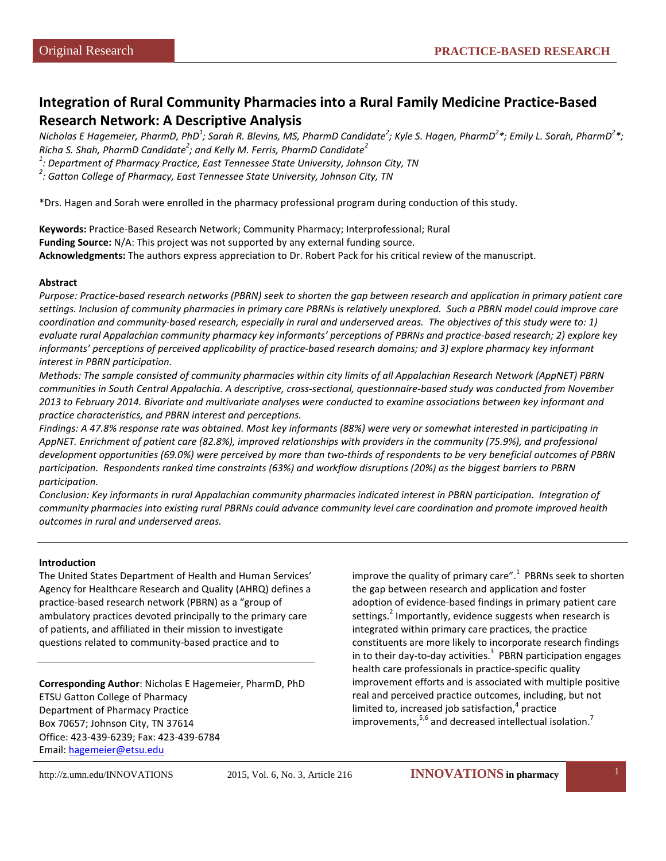### **Integration of Rural Community Pharmacies into a Rural Family Medicine Practice-Based Research Network: A Descriptive Analysis**

*Nicholas E Hagemeier, PharmD, PhD1 ; Sarah R. Blevins, MS, PharmD Candidate<sup>2</sup> ; Kyle S. Hagen, PharmD2 \*; Emily L. Sorah, PharmD2 \*; Richa S. Shah, PharmD Candidate<sup>2</sup> ; and Kelly M. Ferris, PharmD Candidate<sup>2</sup>*

*1 : Department of Pharmacy Practice, East Tennessee State University, Johnson City, TN*

*2 : Gatton College of Pharmacy, East Tennessee State University, Johnson City, TN*

\*Drs. Hagen and Sorah were enrolled in the pharmacy professional program during conduction of this study.

**Keywords:** Practice-Based Research Network; Community Pharmacy; Interprofessional; Rural **Funding Source:** N/A: This project was not supported by any external funding source. **Acknowledgments:** The authors express appreciation to Dr. Robert Pack for his critical review of the manuscript.

#### **Abstract**

*Purpose: Practice-based research networks (PBRN) seek to shorten the gap between research and application in primary patient care settings. Inclusion of community pharmacies in primary care PBRNs is relatively unexplored. Such a PBRN model could improve care coordination and community-based research, especially in rural and underserved areas. The objectives of this study were to: 1) evaluate rural Appalachian community pharmacy key informants' perceptions of PBRNs and practice-based research; 2) explore key informants' perceptions of perceived applicability of practice-based research domains; and 3) explore pharmacy key informant interest in PBRN participation.*

*Methods: The sample consisted of community pharmacies within city limits of all Appalachian Research Network (AppNET) PBRN communities in South Central Appalachia. A descriptive, cross-sectional, questionnaire-based study was conducted from November 2013 to February 2014. Bivariate and multivariate analyses were conducted to examine associations between key informant and practice characteristics, and PBRN interest and perceptions.* 

*Findings: A 47.8% response rate was obtained. Most key informants (88%) were very or somewhat interested in participating in AppNET. Enrichment of patient care (82.8%), improved relationships with providers in the community (75.9%), and professional development opportunities (69.0%) were perceived by more than two-thirds of respondents to be very beneficial outcomes of PBRN participation. Respondents ranked time constraints (63%) and workflow disruptions (20%) as the biggest barriers to PBRN participation.* 

*Conclusion: Key informants in rural Appalachian community pharmacies indicated interest in PBRN participation. Integration of community pharmacies into existing rural PBRNs could advance community level care coordination and promote improved health outcomes in rural and underserved areas.*

#### **Introduction**

The United States Department of Health and Human Services' Agency for Healthcare Research and Quality (AHRQ) defines a practice-based research network (PBRN) as a "group of ambulatory practices devoted principally to the primary care of patients, and affiliated in their mission to investigate questions related to community-based practice and to

**Corresponding Author**: Nicholas E Hagemeier, PharmD, PhD ETSU Gatton College of Pharmacy Department of Pharmacy Practice Box 70657; Johnson City, TN 37614 Office: 423-439-6239; Fax: 423-439-6784 Email: [hagemeier@etsu.edu](mailto:hagemeier@etsu.edu)

improve the quality of primary care". $1$  PBRNs seek to shorten the gap between research and application and foster adoption of evidence-based findings in primary patient care settings.<sup>2</sup> Importantly, evidence suggests when research is integrated within primary care practices, the practice constituents are more likely to incorporate research findings in to their day-to-day activities. $^3$  PBRN participation engages health care professionals in practice-specific quality improvement efforts and is associated with multiple positive real and perceived practice outcomes, including, but not limited to, increased job satisfaction, $4$  practice improvements, $5.6$  and decreased intellectual isolation.<sup>7</sup>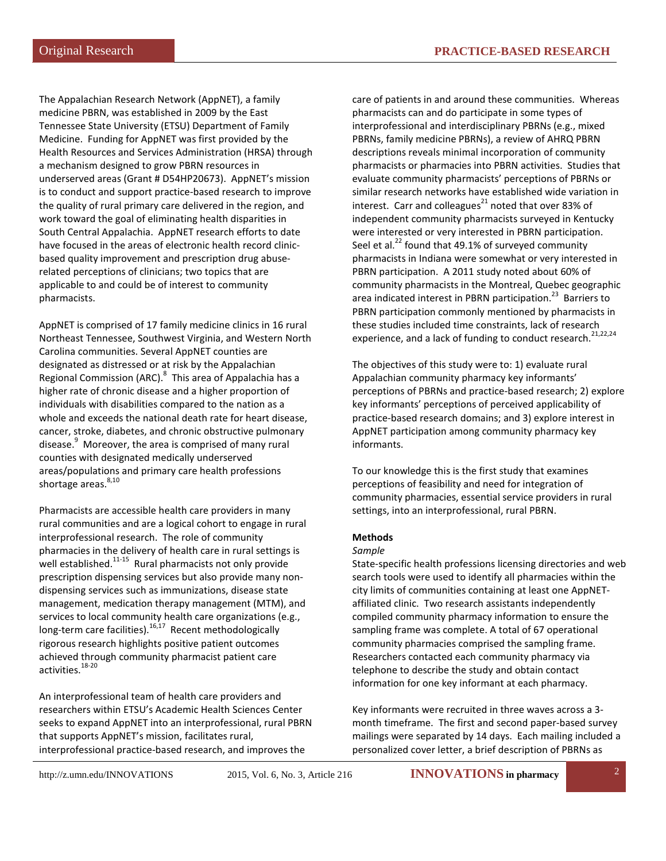The Appalachian Research Network (AppNET), a family medicine PBRN, was established in 2009 by the East Tennessee State University (ETSU) Department of Family Medicine. Funding for AppNET was first provided by the Health Resources and Services Administration (HRSA) through a mechanism designed to grow PBRN resources in underserved areas (Grant # D54HP20673). AppNET's mission is to conduct and support practice-based research to improve the quality of rural primary care delivered in the region, and work toward the goal of eliminating health disparities in South Central Appalachia. AppNET research efforts to date have focused in the areas of electronic health record clinicbased quality improvement and prescription drug abuserelated perceptions of clinicians; two topics that are applicable to and could be of interest to community pharmacists.

AppNET is comprised of 17 family medicine clinics in 16 rural Northeast Tennessee, Southwest Virginia, and Western North Carolina communities. Several AppNET counties are designated as distressed or at risk by the Appalachian Regional Commission (ARC).<sup>8</sup> This area of Appalachia has a higher rate of chronic disease and a higher proportion of individuals with disabilities compared to the nation as a whole and exceeds the national death rate for heart disease, cancer, stroke, diabetes, and chronic obstructive pulmonary disease.<sup>9</sup> Moreover, the area is comprised of many rural counties with designated medically underserved areas/populations and primary care health professions shortage areas.<sup>8,10</sup>

Pharmacists are accessible health care providers in many rural communities and are a logical cohort to engage in rural interprofessional research. The role of community pharmacies in the delivery of health care in rural settings is well established. $11-15$  Rural pharmacists not only provide prescription dispensing services but also provide many nondispensing services such as immunizations, disease state management, medication therapy management (MTM), and services to local community health care organizations (e.g., long-term care facilities). $^{16,17}$  Recent methodologically rigorous research highlights positive patient outcomes achieved through community pharmacist patient care activities.18-20

An interprofessional team of health care providers and researchers within ETSU's Academic Health Sciences Center seeks to expand AppNET into an interprofessional, rural PBRN that supports AppNET's mission, facilitates rural, interprofessional practice-based research, and improves the

care of patients in and around these communities. Whereas pharmacists can and do participate in some types of interprofessional and interdisciplinary PBRNs (e.g., mixed PBRNs, family medicine PBRNs), a review of AHRQ PBRN descriptions reveals minimal incorporation of community pharmacists or pharmacies into PBRN activities. Studies that evaluate community pharmacists' perceptions of PBRNs or similar research networks have established wide variation in interest. Carr and colleagues $^{21}$  noted that over 83% of independent community pharmacists surveyed in Kentucky were interested or very interested in PBRN participation. Seel et al. $^{22}$  found that 49.1% of surveyed community pharmacists in Indiana were somewhat or very interested in PBRN participation. A 2011 study noted about 60% of community pharmacists in the Montreal, Quebec geographic area indicated interest in PBRN participation.<sup>23</sup> Barriers to PBRN participation commonly mentioned by pharmacists in these studies included time constraints, lack of research experience, and a lack of funding to conduct research.<sup>21,22,24</sup>

The objectives of this study were to: 1) evaluate rural Appalachian community pharmacy key informants' perceptions of PBRNs and practice-based research; 2) explore key informants' perceptions of perceived applicability of practice-based research domains; and 3) explore interest in AppNET participation among community pharmacy key informants.

To our knowledge this is the first study that examines perceptions of feasibility and need for integration of community pharmacies, essential service providers in rural settings, into an interprofessional, rural PBRN.

#### **Methods**

#### *Sample*

State-specific health professions licensing directories and web search tools were used to identify all pharmacies within the city limits of communities containing at least one AppNETaffiliated clinic. Two research assistants independently compiled community pharmacy information to ensure the sampling frame was complete. A total of 67 operational community pharmacies comprised the sampling frame. Researchers contacted each community pharmacy via telephone to describe the study and obtain contact information for one key informant at each pharmacy.

Key informants were recruited in three waves across a 3 month timeframe. The first and second paper-based survey mailings were separated by 14 days. Each mailing included a personalized cover letter, a brief description of PBRNs as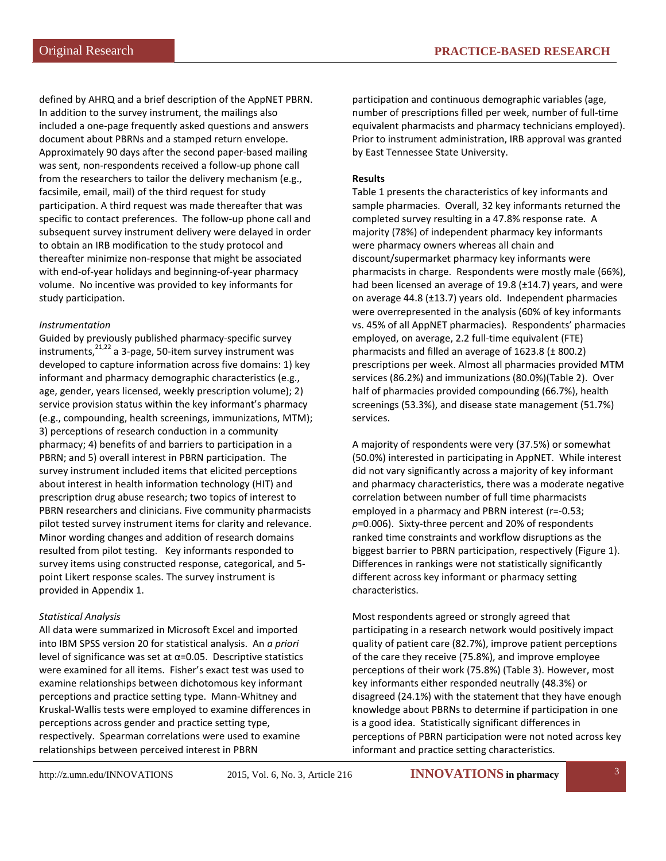defined by AHRQ and a brief description of the AppNET PBRN. In addition to the survey instrument, the mailings also included a one-page frequently asked questions and answers document about PBRNs and a stamped return envelope. Approximately 90 days after the second paper-based mailing was sent, non-respondents received a follow-up phone call from the researchers to tailor the delivery mechanism (e.g., facsimile, email, mail) of the third request for study participation. A third request was made thereafter that was specific to contact preferences. The follow-up phone call and subsequent survey instrument delivery were delayed in order to obtain an IRB modification to the study protocol and thereafter minimize non-response that might be associated with end-of-year holidays and beginning-of-year pharmacy volume. No incentive was provided to key informants for study participation.

#### *Instrumentation*

Guided by previously published pharmacy-specific survey instruments, $2^{1,22}$  a 3-page, 50-item survey instrument was developed to capture information across five domains: 1) key informant and pharmacy demographic characteristics (e.g., age, gender, years licensed, weekly prescription volume); 2) service provision status within the key informant's pharmacy (e.g., compounding, health screenings, immunizations, MTM); 3) perceptions of research conduction in a community pharmacy; 4) benefits of and barriers to participation in a PBRN; and 5) overall interest in PBRN participation. The survey instrument included items that elicited perceptions about interest in health information technology (HIT) and prescription drug abuse research; two topics of interest to PBRN researchers and clinicians. Five community pharmacists pilot tested survey instrument items for clarity and relevance. Minor wording changes and addition of research domains resulted from pilot testing. Key informants responded to survey items using constructed response, categorical, and 5 point Likert response scales. The survey instrument is provided in Appendix 1.

#### *Statistical Analysis*

All data were summarized in Microsoft Excel and imported into IBM SPSS version 20 for statistical analysis. An *a priori* level of significance was set at α=0.05. Descriptive statistics were examined for all items. Fisher's exact test was used to examine relationships between dichotomous key informant perceptions and practice setting type. Mann-Whitney and Kruskal-Wallis tests were employed to examine differences in perceptions across gender and practice setting type, respectively. Spearman correlations were used to examine relationships between perceived interest in PBRN

participation and continuous demographic variables (age, number of prescriptions filled per week, number of full-time equivalent pharmacists and pharmacy technicians employed). Prior to instrument administration, IRB approval was granted by East Tennessee State University.

#### **Results**

Table 1 presents the characteristics of key informants and sample pharmacies. Overall, 32 key informants returned the completed survey resulting in a 47.8% response rate. A majority (78%) of independent pharmacy key informants were pharmacy owners whereas all chain and discount/supermarket pharmacy key informants were pharmacists in charge. Respondents were mostly male (66%), had been licensed an average of 19.8 (±14.7) years, and were on average 44.8 (±13.7) years old. Independent pharmacies were overrepresented in the analysis (60% of key informants vs. 45% of all AppNET pharmacies). Respondents' pharmacies employed, on average, 2.2 full-time equivalent (FTE) pharmacists and filled an average of 1623.8 (± 800.2) prescriptions per week. Almost all pharmacies provided MTM services (86.2%) and immunizations (80.0%)(Table 2). Over half of pharmacies provided compounding (66.7%), health screenings (53.3%), and disease state management (51.7%) services.

A majority of respondents were very (37.5%) or somewhat (50.0%) interested in participating in AppNET. While interest did not vary significantly across a majority of key informant and pharmacy characteristics, there was a moderate negative correlation between number of full time pharmacists employed in a pharmacy and PBRN interest (r=-0.53; *p*=0.006). Sixty-three percent and 20% of respondents ranked time constraints and workflow disruptions as the biggest barrier to PBRN participation, respectively (Figure 1). Differences in rankings were not statistically significantly different across key informant or pharmacy setting characteristics.

Most respondents agreed or strongly agreed that participating in a research network would positively impact quality of patient care (82.7%), improve patient perceptions of the care they receive (75.8%), and improve employee perceptions of their work (75.8%) (Table 3). However, most key informants either responded neutrally (48.3%) or disagreed (24.1%) with the statement that they have enough knowledge about PBRNs to determine if participation in one is a good idea. Statistically significant differences in perceptions of PBRN participation were not noted across key informant and practice setting characteristics.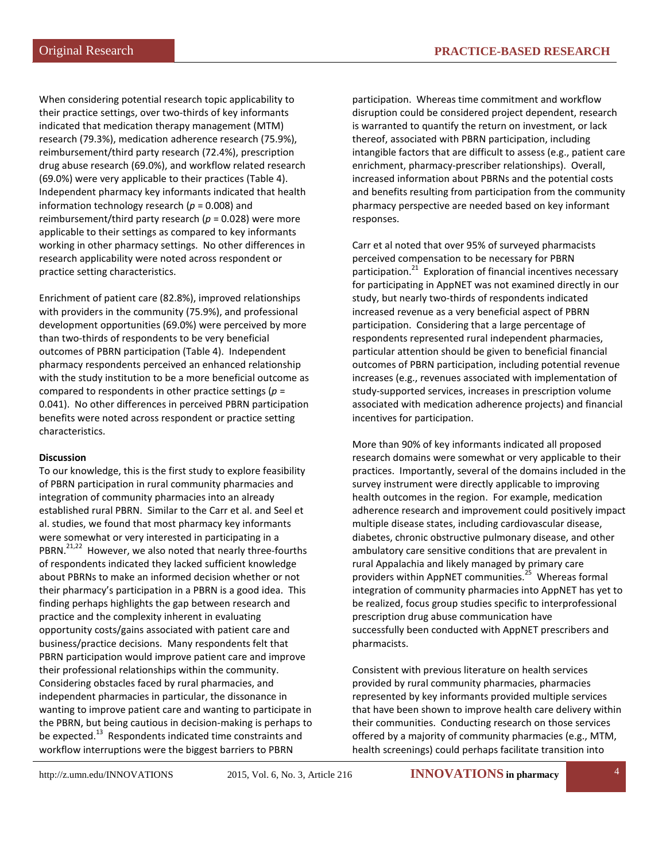When considering potential research topic applicability to their practice settings, over two-thirds of key informants indicated that medication therapy management (MTM) research (79.3%), medication adherence research (75.9%), reimbursement/third party research (72.4%), prescription drug abuse research (69.0%), and workflow related research (69.0%) were very applicable to their practices (Table 4). Independent pharmacy key informants indicated that health information technology research ( $p = 0.008$ ) and reimbursement/third party research (*p* = 0.028) were more applicable to their settings as compared to key informants working in other pharmacy settings. No other differences in research applicability were noted across respondent or practice setting characteristics.

Enrichment of patient care (82.8%), improved relationships with providers in the community (75.9%), and professional development opportunities (69.0%) were perceived by more than two-thirds of respondents to be very beneficial outcomes of PBRN participation (Table 4). Independent pharmacy respondents perceived an enhanced relationship with the study institution to be a more beneficial outcome as compared to respondents in other practice settings (*p* = 0.041). No other differences in perceived PBRN participation benefits were noted across respondent or practice setting characteristics.

#### **Discussion**

To our knowledge, this is the first study to explore feasibility of PBRN participation in rural community pharmacies and integration of community pharmacies into an already established rural PBRN. Similar to the Carr et al. and Seel et al. studies, we found that most pharmacy key informants were somewhat or very interested in participating in a PBRN.<sup>21,22</sup> However, we also noted that nearly three-fourths of respondents indicated they lacked sufficient knowledge about PBRNs to make an informed decision whether or not their pharmacy's participation in a PBRN is a good idea. This finding perhaps highlights the gap between research and practice and the complexity inherent in evaluating opportunity costs/gains associated with patient care and business/practice decisions. Many respondents felt that PBRN participation would improve patient care and improve their professional relationships within the community. Considering obstacles faced by rural pharmacies, and independent pharmacies in particular, the dissonance in wanting to improve patient care and wanting to participate in the PBRN, but being cautious in decision-making is perhaps to be expected.<sup>13</sup> Respondents indicated time constraints and workflow interruptions were the biggest barriers to PBRN

participation. Whereas time commitment and workflow disruption could be considered project dependent, research is warranted to quantify the return on investment, or lack thereof, associated with PBRN participation, including intangible factors that are difficult to assess (e.g., patient care enrichment, pharmacy-prescriber relationships). Overall, increased information about PBRNs and the potential costs and benefits resulting from participation from the community pharmacy perspective are needed based on key informant responses.

Carr et al noted that over 95% of surveyed pharmacists perceived compensation to be necessary for PBRN participation. $^{21}$  Exploration of financial incentives necessary for participating in AppNET was not examined directly in our study, but nearly two-thirds of respondents indicated increased revenue as a very beneficial aspect of PBRN participation. Considering that a large percentage of respondents represented rural independent pharmacies, particular attention should be given to beneficial financial outcomes of PBRN participation, including potential revenue increases (e.g., revenues associated with implementation of study-supported services, increases in prescription volume associated with medication adherence projects) and financial incentives for participation.

More than 90% of key informants indicated all proposed research domains were somewhat or very applicable to their practices. Importantly, several of the domains included in the survey instrument were directly applicable to improving health outcomes in the region. For example, medication adherence research and improvement could positively impact multiple disease states, including cardiovascular disease, diabetes, chronic obstructive pulmonary disease, and other ambulatory care sensitive conditions that are prevalent in rural Appalachia and likely managed by primary care providers within AppNET communities.<sup>25</sup> Whereas formal integration of community pharmacies into AppNET has yet to be realized, focus group studies specific to interprofessional prescription drug abuse communication have successfully been conducted with AppNET prescribers and pharmacists.

Consistent with previous literature on health services provided by rural community pharmacies, pharmacies represented by key informants provided multiple services that have been shown to improve health care delivery within their communities. Conducting research on those services offered by a majority of community pharmacies (e.g., MTM, health screenings) could perhaps facilitate transition into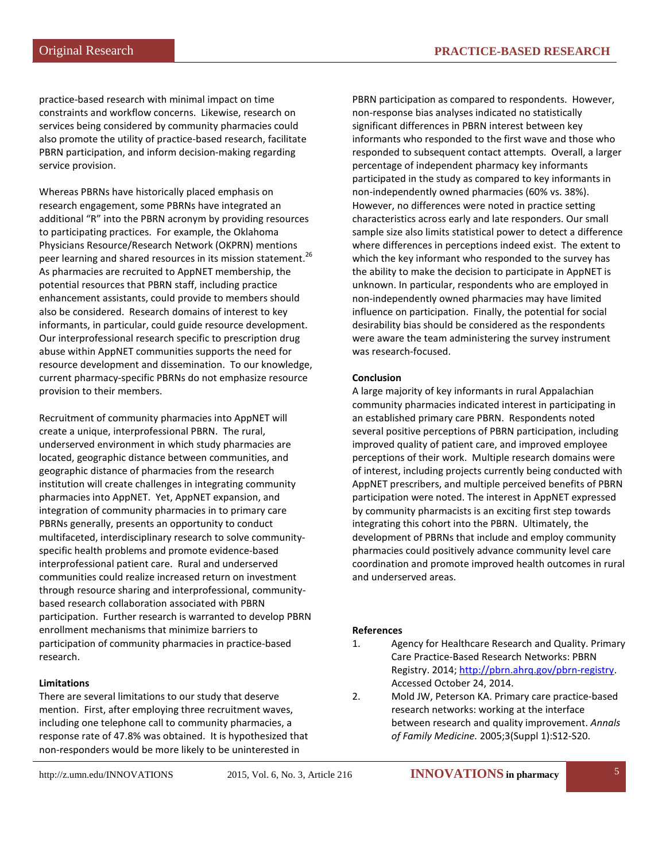practice-based research with minimal impact on time constraints and workflow concerns. Likewise, research on services being considered by community pharmacies could also promote the utility of practice-based research, facilitate PBRN participation, and inform decision-making regarding service provision.

Whereas PBRNs have historically placed emphasis on research engagement, some PBRNs have integrated an additional "R" into the PBRN acronym by providing resources to participating practices. For example, the Oklahoma Physicians Resource/Research Network (OKPRN) mentions peer learning and shared resources in its mission statement.<sup>26</sup> As pharmacies are recruited to AppNET membership, the potential resources that PBRN staff, including practice enhancement assistants, could provide to members should also be considered. Research domains of interest to key informants, in particular, could guide resource development. Our interprofessional research specific to prescription drug abuse within AppNET communities supports the need for resource development and dissemination. To our knowledge, current pharmacy-specific PBRNs do not emphasize resource provision to their members.

Recruitment of community pharmacies into AppNET will create a unique, interprofessional PBRN. The rural, underserved environment in which study pharmacies are located, geographic distance between communities, and geographic distance of pharmacies from the research institution will create challenges in integrating community pharmacies into AppNET. Yet, AppNET expansion, and integration of community pharmacies in to primary care PBRNs generally, presents an opportunity to conduct multifaceted, interdisciplinary research to solve communityspecific health problems and promote evidence-based interprofessional patient care. Rural and underserved communities could realize increased return on investment through resource sharing and interprofessional, communitybased research collaboration associated with PBRN participation. Further research is warranted to develop PBRN enrollment mechanisms that minimize barriers to participation of community pharmacies in practice-based research.

#### **Limitations**

There are several limitations to our study that deserve mention. First, after employing three recruitment waves, including one telephone call to community pharmacies, a response rate of 47.8% was obtained. It is hypothesized that non-responders would be more likely to be uninterested in

PBRN participation as compared to respondents. However, non-response bias analyses indicated no statistically significant differences in PBRN interest between key informants who responded to the first wave and those who responded to subsequent contact attempts. Overall, a larger percentage of independent pharmacy key informants participated in the study as compared to key informants in non-independently owned pharmacies (60% vs. 38%). However, no differences were noted in practice setting characteristics across early and late responders. Our small sample size also limits statistical power to detect a difference where differences in perceptions indeed exist. The extent to which the key informant who responded to the survey has the ability to make the decision to participate in AppNET is unknown. In particular, respondents who are employed in non-independently owned pharmacies may have limited influence on participation. Finally, the potential for social desirability bias should be considered as the respondents were aware the team administering the survey instrument was research-focused.

#### **Conclusion**

A large majority of key informants in rural Appalachian community pharmacies indicated interest in participating in an established primary care PBRN. Respondents noted several positive perceptions of PBRN participation, including improved quality of patient care, and improved employee perceptions of their work. Multiple research domains were of interest, including projects currently being conducted with AppNET prescribers, and multiple perceived benefits of PBRN participation were noted. The interest in AppNET expressed by community pharmacists is an exciting first step towards integrating this cohort into the PBRN. Ultimately, the development of PBRNs that include and employ community pharmacies could positively advance community level care coordination and promote improved health outcomes in rural and underserved areas.

#### **References**

- 1. Agency for Healthcare Research and Quality. Primary Care Practice-Based Research Networks: PBRN Registry. 2014[; http://pbrn.ahrq.gov/pbrn-registry.](http://pbrn.ahrq.gov/pbrn-registry) Accessed October 24, 2014.
- 2. Mold JW, Peterson KA. Primary care practice-based research networks: working at the interface between research and quality improvement. *Annals of Family Medicine.* 2005;3(Suppl 1):S12-S20.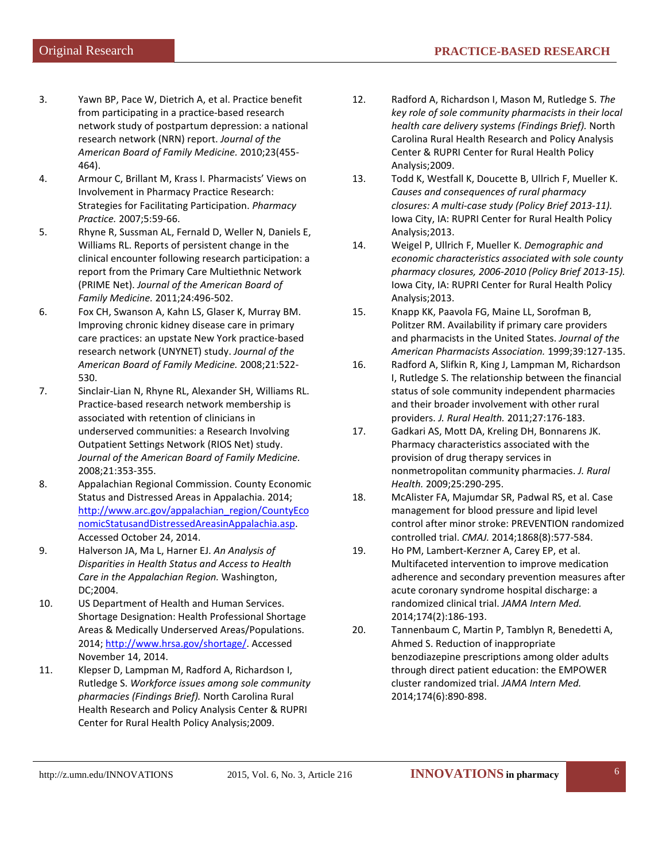- 3. Yawn BP, Pace W, Dietrich A, et al. Practice benefit from participating in a practice-based research network study of postpartum depression: a national research network (NRN) report. *Journal of the American Board of Family Medicine.* 2010;23(455- 464).
- 4. Armour C, Brillant M, Krass I. Pharmacists' Views on Involvement in Pharmacy Practice Research: Strategies for Facilitating Participation. *Pharmacy Practice.* 2007;5:59-66.
- 5. Rhyne R, Sussman AL, Fernald D, Weller N, Daniels E, Williams RL. Reports of persistent change in the clinical encounter following research participation: a report from the Primary Care Multiethnic Network (PRIME Net). *Journal of the American Board of Family Medicine.* 2011;24:496-502.
- 6. Fox CH, Swanson A, Kahn LS, Glaser K, Murray BM. Improving chronic kidney disease care in primary care practices: an upstate New York practice-based research network (UNYNET) study. *Journal of the American Board of Family Medicine.* 2008;21:522- 530.
- 7. Sinclair-Lian N, Rhyne RL, Alexander SH, Williams RL. Practice-based research network membership is associated with retention of clinicians in underserved communities: a Research Involving Outpatient Settings Network (RIOS Net) study. *Journal of the American Board of Family Medicine.*  2008;21:353-355.
- 8. Appalachian Regional Commission. County Economic Status and Distressed Areas in Appalachia. 2014; [http://www.arc.gov/appalachian\\_region/CountyEco](http://www.arc.gov/appalachian_region/CountyEconomicStatusandDistressedAreasinAppalachia.asp) [nomicStatusandDistressedAreasinAppalachia.asp.](http://www.arc.gov/appalachian_region/CountyEconomicStatusandDistressedAreasinAppalachia.asp)  Accessed October 24, 2014.
- 9. Halverson JA, Ma L, Harner EJ. *An Analysis of Disparities in Health Status and Access to Health Care in the Appalachian Region.* Washington, DC;2004.
- 10. US Department of Health and Human Services. Shortage Designation: Health Professional Shortage Areas & Medically Underserved Areas/Populations. 2014; [http://www.hrsa.gov/shortage/.](http://www.hrsa.gov/shortage/) Accessed November 14, 2014.
- 11. Klepser D, Lampman M, Radford A, Richardson I, Rutledge S. *Workforce issues among sole community pharmacies (Findings Brief).* North Carolina Rural Health Research and Policy Analysis Center & RUPRI Center for Rural Health Policy Analysis;2009.
- 12. Radford A, Richardson I, Mason M, Rutledge S. *The key role of sole community pharmacists in their local health care delivery systems (Findings Brief).* North Carolina Rural Health Research and Policy Analysis Center & RUPRI Center for Rural Health Policy Analysis;2009.
- 13. Todd K, Westfall K, Doucette B, Ullrich F, Mueller K. *Causes and consequences of rural pharmacy closures: A multi-case study (Policy Brief 2013-11).*  Iowa City, IA: RUPRI Center for Rural Health Policy Analysis;2013.
- 14. Weigel P, Ullrich F, Mueller K. *Demographic and economic characteristics associated with sole county pharmacy closures, 2006-2010 (Policy Brief 2013-15).*  Iowa City, IA: RUPRI Center for Rural Health Policy Analysis;2013.
- 15. Knapp KK, Paavola FG, Maine LL, Sorofman B, Politzer RM. Availability if primary care providers and pharmacists in the United States. *Journal of the American Pharmacists Association.* 1999;39:127-135.
- 16. Radford A, Slifkin R, King J, Lampman M, Richardson I, Rutledge S. The relationship between the financial status of sole community independent pharmacies and their broader involvement with other rural providers. *J. Rural Health.* 2011;27:176-183.
- 17. Gadkari AS, Mott DA, Kreling DH, Bonnarens JK. Pharmacy characteristics associated with the provision of drug therapy services in nonmetropolitan community pharmacies. *J. Rural Health.* 2009;25:290-295.
- 18. McAlister FA, Majumdar SR, Padwal RS, et al. Case management for blood pressure and lipid level control after minor stroke: PREVENTION randomized controlled trial. *CMAJ.* 2014;1868(8):577-584.
- 19. Ho PM, Lambert-Kerzner A, Carey EP, et al. Multifaceted intervention to improve medication adherence and secondary prevention measures after acute coronary syndrome hospital discharge: a randomized clinical trial. *JAMA Intern Med.*  2014;174(2):186-193.
- 20. Tannenbaum C, Martin P, Tamblyn R, Benedetti A, Ahmed S. Reduction of inappropriate benzodiazepine prescriptions among older adults through direct patient education: the EMPOWER cluster randomized trial. *JAMA Intern Med.*  2014;174(6):890-898.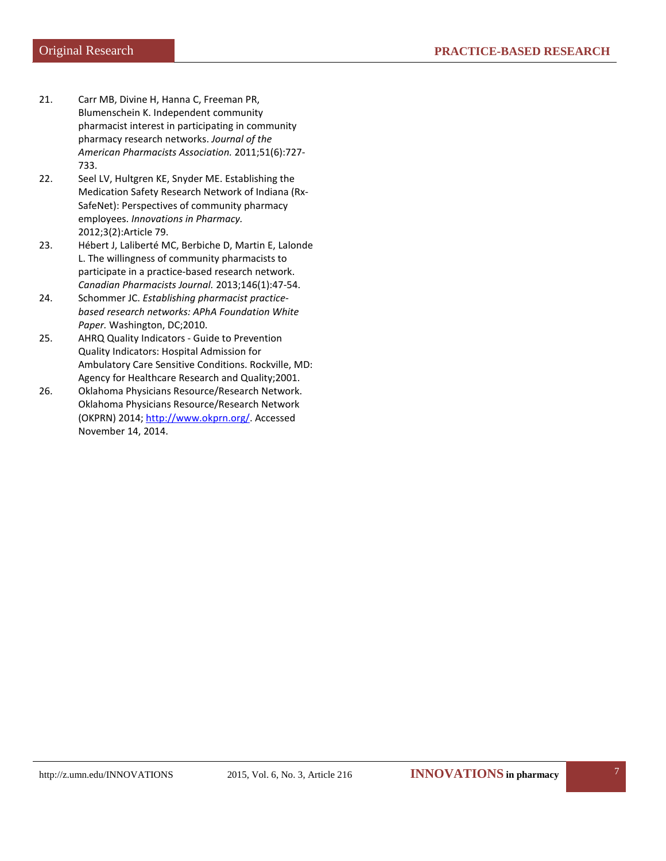- 21. Carr MB, Divine H, Hanna C, Freeman PR, Blumenschein K. Independent community pharmacist interest in participating in community pharmacy research networks. *Journal of the American Pharmacists Association.* 2011;51(6):727- 733.
- 22. Seel LV, Hultgren KE, Snyder ME. Establishing the Medication Safety Research Network of Indiana (Rx-SafeNet): Perspectives of community pharmacy employees. *Innovations in Pharmacy.*  2012;3(2):Article 79.
- 23. Hébert J, Laliberté MC, Berbiche D, Martin E, Lalonde L. The willingness of community pharmacists to participate in a practice-based research network. *Canadian Pharmacists Journal.* 2013;146(1):47-54.
- 24. Schommer JC. *Establishing pharmacist practicebased research networks: APhA Foundation White Paper.* Washington, DC;2010.
- 25. AHRQ Quality Indicators Guide to Prevention Quality Indicators: Hospital Admission for Ambulatory Care Sensitive Conditions. Rockville, MD: Agency for Healthcare Research and Quality;2001.
- 26. Oklahoma Physicians Resource/Research Network. Oklahoma Physicians Resource/Research Network (OKPRN) 2014; [http://www.okprn.org/.](http://www.okprn.org/) Accessed November 14, 2014.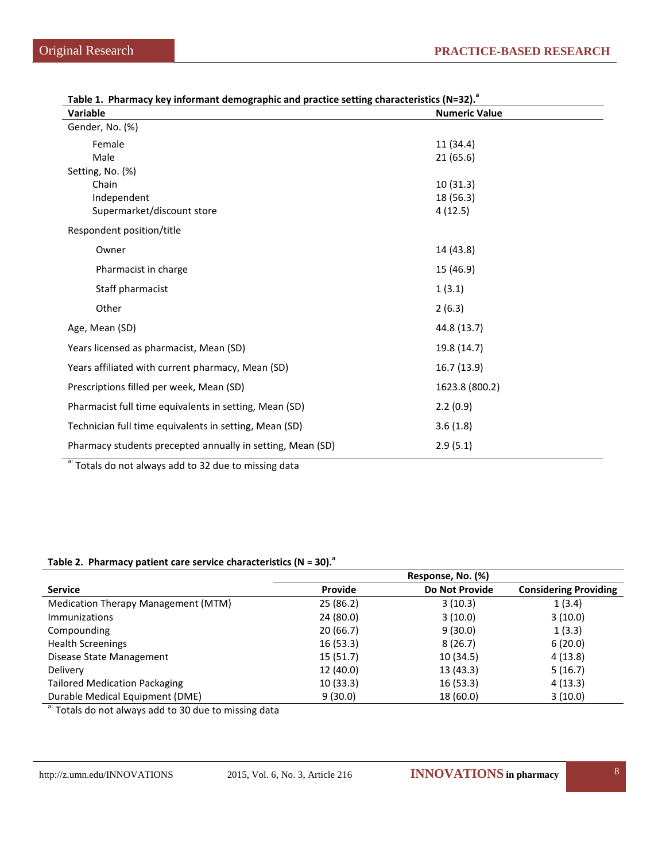| Variable                                                   | <b>Numeric Value</b> |  |
|------------------------------------------------------------|----------------------|--|
| Gender, No. (%)                                            |                      |  |
| Female                                                     | 11(34.4)             |  |
| Male                                                       | 21(65.6)             |  |
| Setting, No. (%)                                           |                      |  |
| Chain                                                      | 10(31.3)             |  |
| Independent                                                | 18 (56.3)            |  |
| Supermarket/discount store                                 | 4(12.5)              |  |
| Respondent position/title                                  |                      |  |
| Owner                                                      | 14 (43.8)            |  |
| Pharmacist in charge                                       | 15 (46.9)            |  |
| Staff pharmacist                                           | 1(3.1)               |  |
| Other                                                      | 2(6.3)               |  |
| Age, Mean (SD)                                             | 44.8 (13.7)          |  |
| Years licensed as pharmacist, Mean (SD)                    | 19.8 (14.7)          |  |
| Years affiliated with current pharmacy, Mean (SD)          | 16.7(13.9)           |  |
| Prescriptions filled per week, Mean (SD)                   | 1623.8 (800.2)       |  |
| Pharmacist full time equivalents in setting, Mean (SD)     | 2.2(0.9)             |  |
| Technician full time equivalents in setting, Mean (SD)     | 3.6(1.8)             |  |
| Pharmacy students precepted annually in setting, Mean (SD) | 2.9(5.1)             |  |

| Table 1. Pharmacy key informant demographic and practice setting characteristics (N=32). <sup>3</sup> |  |  |
|-------------------------------------------------------------------------------------------------------|--|--|
|-------------------------------------------------------------------------------------------------------|--|--|

a: Totals do not always add to 32 due to missing data

#### Table 2. Pharmacy patient care service characteristics (N = 30).<sup>a</sup>

|                                      | Response, No. (%) |                       |                              |  |  |
|--------------------------------------|-------------------|-----------------------|------------------------------|--|--|
| <b>Service</b>                       | Provide           | <b>Do Not Provide</b> | <b>Considering Providing</b> |  |  |
| Medication Therapy Management (MTM)  | 25(86.2)          | 3(10.3)               | 1(3.4)                       |  |  |
| <b>Immunizations</b>                 | 24 (80.0)         | 3(10.0)               | 3(10.0)                      |  |  |
| Compounding                          | 20(66.7)          | 9(30.0)               | 1(3.3)                       |  |  |
| <b>Health Screenings</b>             | 16(53.3)          | 8(26.7)               | 6(20.0)                      |  |  |
| Disease State Management             | 15(51.7)          | 10 (34.5)             | 4(13.8)                      |  |  |
| Delivery                             | 12 (40.0)         | 13(43.3)              | 5(16.7)                      |  |  |
| <b>Tailored Medication Packaging</b> | 10(33.3)          | 16(53.3)              | 4(13.3)                      |  |  |
| Durable Medical Equipment (DME)      | 9(30.0)           | 18 (60.0)             | 3(10.0)                      |  |  |

a: Totals do not always add to 30 due to missing data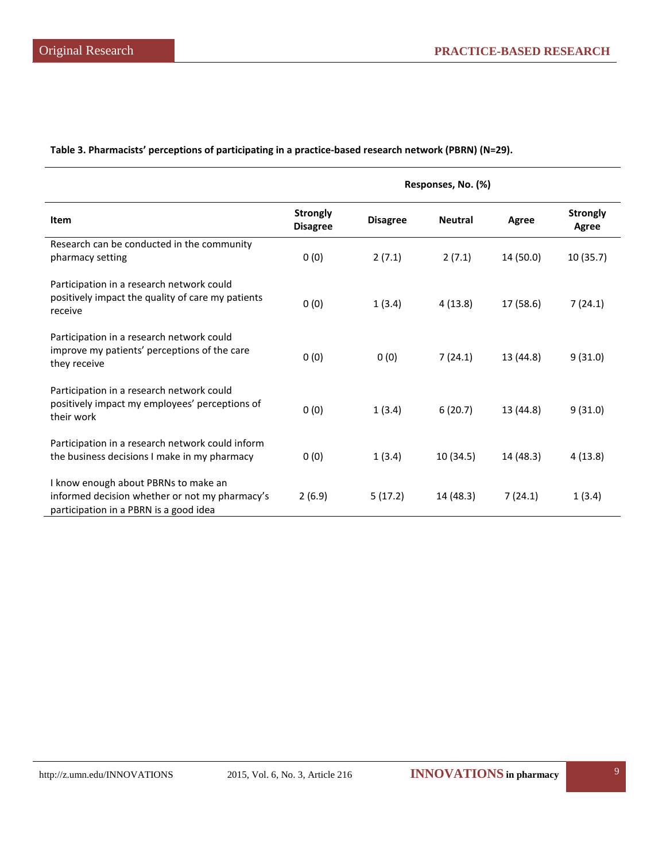**Table 3. Pharmacists' perceptions of participating in a practice-based research network (PBRN) (N=29).**

|                                                                                                                                  | Responses, No. (%)                 |                 |                |           |                                 |
|----------------------------------------------------------------------------------------------------------------------------------|------------------------------------|-----------------|----------------|-----------|---------------------------------|
| Item                                                                                                                             | <b>Strongly</b><br><b>Disagree</b> | <b>Disagree</b> | <b>Neutral</b> | Agree     | <b>Strongly</b><br><b>Agree</b> |
| Research can be conducted in the community<br>pharmacy setting                                                                   | 0(0)                               | 2(7.1)          | 2(7.1)         | 14 (50.0) | 10(35.7)                        |
| Participation in a research network could<br>positively impact the quality of care my patients<br>receive                        | 0(0)                               | 1(3.4)          | 4(13.8)        | 17 (58.6) | 7(24.1)                         |
| Participation in a research network could<br>improve my patients' perceptions of the care<br>they receive                        | 0(0)                               | 0(0)            | 7(24.1)        | 13 (44.8) | 9(31.0)                         |
| Participation in a research network could<br>positively impact my employees' perceptions of<br>their work                        | 0(0)                               | 1(3.4)          | 6(20.7)        | 13 (44.8) | 9(31.0)                         |
| Participation in a research network could inform<br>the business decisions I make in my pharmacy                                 | 0(0)                               | 1(3.4)          | 10(34.5)       | 14 (48.3) | 4(13.8)                         |
| I know enough about PBRNs to make an<br>informed decision whether or not my pharmacy's<br>participation in a PBRN is a good idea | 2(6.9)                             | 5(17.2)         | 14 (48.3)      | 7(24.1)   | 1(3.4)                          |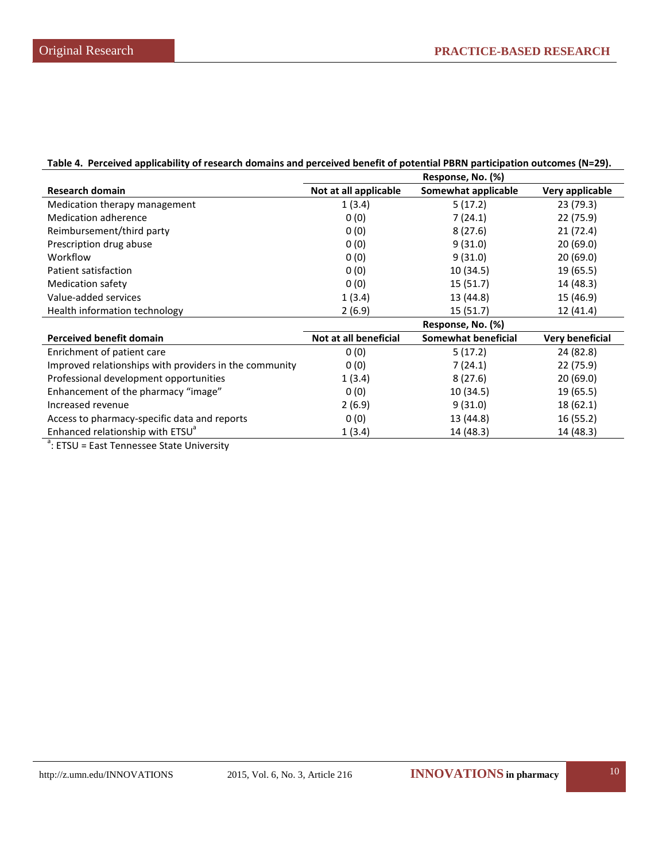| Table 4. Perceived applicability of research domains and perceived benefit of potential PBRN participation outcomes (N=29). |  |
|-----------------------------------------------------------------------------------------------------------------------------|--|
| Response, No. (%)                                                                                                           |  |

|                                                        | Response, No. (%)     |                     |                 |
|--------------------------------------------------------|-----------------------|---------------------|-----------------|
| <b>Research domain</b>                                 | Not at all applicable | Somewhat applicable | Very applicable |
| Medication therapy management                          | 1(3.4)                | 5(17.2)             | 23 (79.3)       |
| Medication adherence                                   | 0(0)                  | 7(24.1)             | 22 (75.9)       |
| Reimbursement/third party                              | 0(0)                  | 8(27.6)             | 21(72.4)        |
| Prescription drug abuse                                | 0(0)                  | 9(31.0)             | 20(69.0)        |
| Workflow                                               | 0(0)                  | 9(31.0)             | 20(69.0)        |
| Patient satisfaction                                   | 0(0)                  | 10(34.5)            | 19 (65.5)       |
| <b>Medication safety</b>                               | 0(0)                  | 15(51.7)            | 14 (48.3)       |
| Value-added services                                   | 1(3.4)                | 13 (44.8)           | 15 (46.9)       |
| Health information technology                          | 2(6.9)                | 15(51.7)            | 12 (41.4)       |
|                                                        |                       | Response, No. (%)   |                 |
| <b>Perceived benefit domain</b>                        | Not at all beneficial | Somewhat beneficial | Very beneficial |
| Enrichment of patient care                             | 0(0)                  | 5(17.2)             | 24 (82.8)       |
| Improved relationships with providers in the community | 0(0)                  | 7 (24.1)            | 22 (75.9)       |
| Professional development opportunities                 | 1(3.4)                | 8(27.6)             | 20(69.0)        |
| Enhancement of the pharmacy "image"                    | 0(0)                  | 10 (34.5)           | 19 (65.5)       |
| Increased revenue                                      | 2(6.9)                | 9(31.0)             | 18 (62.1)       |
| Access to pharmacy-specific data and reports           | 0(0)                  | 13 (44.8)           | 16(55.2)        |
| Enhanced relationship with ETSU <sup>a</sup>           | 1(3.4)                | 14 (48.3)           | 14 (48.3)       |
|                                                        |                       |                     |                 |

<sup>a</sup>: ETSU = East Tennessee State University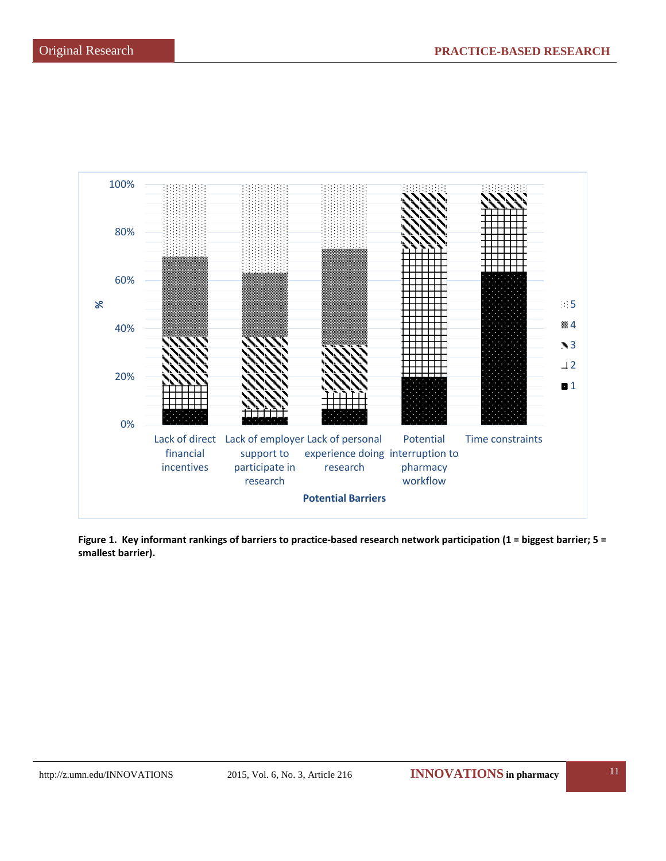

**Figure 1. Key informant rankings of barriers to practice-based research network participation (1 = biggest barrier; 5 = smallest barrier).**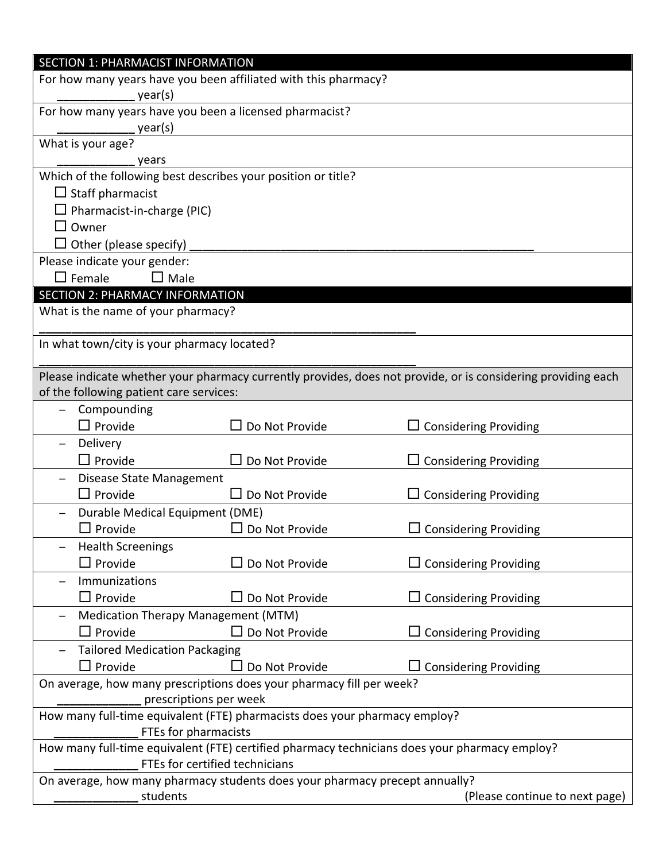| SECTION 1: PHARMACIST INFORMATION           |                                                                             |                                                                                                              |
|---------------------------------------------|-----------------------------------------------------------------------------|--------------------------------------------------------------------------------------------------------------|
|                                             | For how many years have you been affiliated with this pharmacy?             |                                                                                                              |
| year(s)                                     |                                                                             |                                                                                                              |
|                                             | For how many years have you been a licensed pharmacist?                     |                                                                                                              |
| year(s)                                     |                                                                             |                                                                                                              |
| What is your age?                           |                                                                             |                                                                                                              |
| years                                       |                                                                             |                                                                                                              |
|                                             | Which of the following best describes your position or title?               |                                                                                                              |
| $\Box$ Staff pharmacist                     |                                                                             |                                                                                                              |
| $\Box$ Pharmacist-in-charge (PIC)           |                                                                             |                                                                                                              |
| $\square$ Owner                             |                                                                             |                                                                                                              |
| $\Box$ Other (please specify)               |                                                                             |                                                                                                              |
| Please indicate your gender:                |                                                                             |                                                                                                              |
| $\Box$ Female<br>$\Box$ Male                |                                                                             |                                                                                                              |
| <b>SECTION 2: PHARMACY INFORMATION</b>      |                                                                             |                                                                                                              |
| What is the name of your pharmacy?          |                                                                             |                                                                                                              |
| In what town/city is your pharmacy located? |                                                                             |                                                                                                              |
|                                             |                                                                             | Please indicate whether your pharmacy currently provides, does not provide, or is considering providing each |
| of the following patient care services:     |                                                                             |                                                                                                              |
| Compounding                                 |                                                                             |                                                                                                              |
| $\square$ Provide                           | $\Box$ Do Not Provide                                                       | <b>Considering Providing</b>                                                                                 |
| Delivery                                    |                                                                             |                                                                                                              |
| $\Box$ Provide                              | $\Box$ Do Not Provide                                                       | $\Box$ Considering Providing                                                                                 |
| Disease State Management                    |                                                                             |                                                                                                              |
| $\Box$ Provide                              | $\Box$ Do Not Provide                                                       | $\Box$ Considering Providing                                                                                 |
| Durable Medical Equipment (DME)             |                                                                             |                                                                                                              |
| $\Box$<br>Provide                           | Do Not Provide                                                              | <b>Considering Providing</b>                                                                                 |
| <b>Health Screenings</b>                    |                                                                             |                                                                                                              |
| $\Box$ Provide                              | Do Not Provide                                                              | $\Box$ Considering Providing                                                                                 |
| Immunizations                               |                                                                             |                                                                                                              |
| $\Box$ Provide                              | $\Box$ Do Not Provide                                                       | $\Box$ Considering Providing                                                                                 |
| Medication Therapy Management (MTM)         |                                                                             |                                                                                                              |
| $\square$ Provide                           | $\Box$ Do Not Provide                                                       | $\Box$ Considering Providing                                                                                 |
| <b>Tailored Medication Packaging</b>        |                                                                             |                                                                                                              |
| $\Box$ Provide                              | $\Box$ Do Not Provide                                                       | $\Box$ Considering Providing                                                                                 |
|                                             | On average, how many prescriptions does your pharmacy fill per week?        |                                                                                                              |
|                                             | prescriptions per week                                                      |                                                                                                              |
|                                             | How many full-time equivalent (FTE) pharmacists does your pharmacy employ?  |                                                                                                              |
|                                             | FTEs for pharmacists                                                        |                                                                                                              |
|                                             | FTEs for certified technicians                                              | How many full-time equivalent (FTE) certified pharmacy technicians does your pharmacy employ?                |
|                                             | On average, how many pharmacy students does your pharmacy precept annually? |                                                                                                              |
| students                                    |                                                                             | (Please continue to next page)                                                                               |
|                                             |                                                                             |                                                                                                              |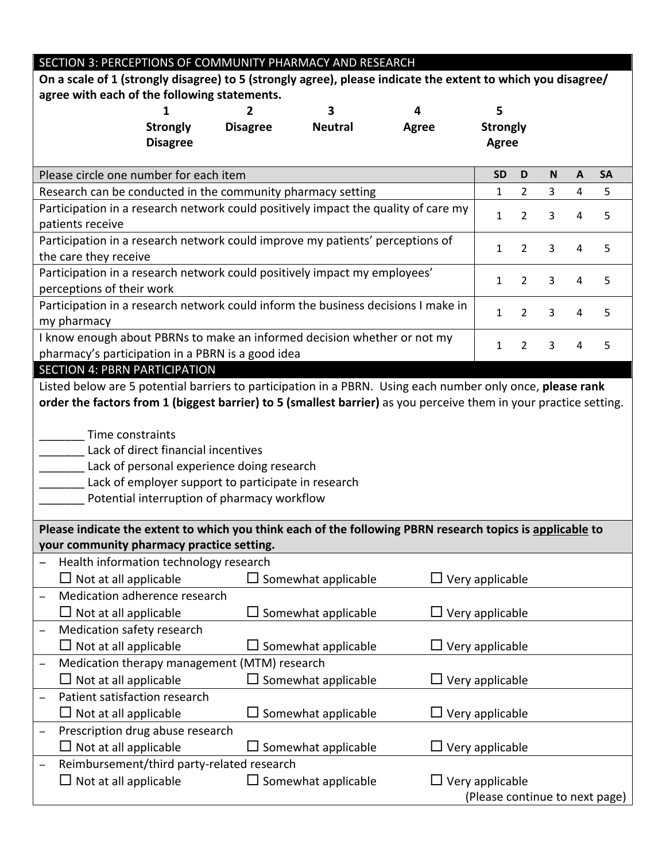| SECTION 3: PERCEPTIONS OF COMMUNITY PHARMACY AND RESEARCH                                                         |                                                     |                            |                        |                                |                |                |              |           |
|-------------------------------------------------------------------------------------------------------------------|-----------------------------------------------------|----------------------------|------------------------|--------------------------------|----------------|----------------|--------------|-----------|
| On a scale of 1 (strongly disagree) to 5 (strongly agree), please indicate the extent to which you disagree/      |                                                     |                            |                        |                                |                |                |              |           |
| agree with each of the following statements.                                                                      |                                                     |                            |                        |                                |                |                |              |           |
|                                                                                                                   |                                                     | 3.                         | 4                      | 5                              |                |                |              |           |
| <b>Strongly</b>                                                                                                   | <b>Disagree</b>                                     | <b>Neutral</b>             | <b>Agree</b>           | <b>Strongly</b>                |                |                |              |           |
| <b>Disagree</b>                                                                                                   |                                                     |                            |                        | <b>Agree</b>                   |                |                |              |           |
|                                                                                                                   |                                                     |                            |                        |                                |                |                |              |           |
| Please circle one number for each item                                                                            |                                                     |                            |                        | <b>SD</b>                      | D              | N              | $\mathbf{A}$ | <b>SA</b> |
| Research can be conducted in the community pharmacy setting                                                       |                                                     |                            |                        | $\mathbf{1}$                   | $2^{\circ}$    | $\overline{3}$ | 4            | 5         |
| Participation in a research network could positively impact the quality of care my                                |                                                     |                            |                        |                                |                |                |              |           |
| patients receive                                                                                                  |                                                     |                            |                        | 1                              | $\overline{2}$ | 3              | 4            | 5         |
| Participation in a research network could improve my patients' perceptions of                                     |                                                     |                            |                        |                                |                |                |              |           |
| the care they receive                                                                                             |                                                     |                            |                        | 1                              | $\overline{2}$ | 3              | 4            | 5         |
| Participation in a research network could positively impact my employees'                                         |                                                     |                            |                        |                                |                |                |              |           |
| perceptions of their work                                                                                         |                                                     |                            |                        | 1                              | $\overline{2}$ | 3              | 4            | 5         |
| Participation in a research network could inform the business decisions I make in                                 |                                                     |                            |                        |                                |                |                |              |           |
| my pharmacy                                                                                                       |                                                     |                            |                        | 1                              | $\overline{2}$ | 3              | 4            | 5         |
| I know enough about PBRNs to make an informed decision whether or not my                                          |                                                     |                            |                        |                                |                |                |              |           |
| pharmacy's participation in a PBRN is a good idea                                                                 |                                                     |                            |                        | 1                              | $\overline{2}$ | 3              | 4            | 5         |
| <b>SECTION 4: PBRN PARTICIPATION</b>                                                                              |                                                     |                            |                        |                                |                |                |              |           |
| Listed below are 5 potential barriers to participation in a PBRN. Using each number only once, please rank        |                                                     |                            |                        |                                |                |                |              |           |
| order the factors from 1 (biggest barrier) to 5 (smallest barrier) as you perceive them in your practice setting. |                                                     |                            |                        |                                |                |                |              |           |
|                                                                                                                   |                                                     |                            |                        |                                |                |                |              |           |
| Time constraints                                                                                                  |                                                     |                            |                        |                                |                |                |              |           |
| Lack of direct financial incentives                                                                               |                                                     |                            |                        |                                |                |                |              |           |
|                                                                                                                   | Lack of personal experience doing research          |                            |                        |                                |                |                |              |           |
|                                                                                                                   | Lack of employer support to participate in research |                            |                        |                                |                |                |              |           |
|                                                                                                                   | Potential interruption of pharmacy workflow         |                            |                        |                                |                |                |              |           |
|                                                                                                                   |                                                     |                            |                        |                                |                |                |              |           |
| Please indicate the extent to which you think each of the following PBRN research topics is applicable to         |                                                     |                            |                        |                                |                |                |              |           |
| your community pharmacy practice setting.                                                                         |                                                     |                            |                        |                                |                |                |              |           |
| Health information technology research                                                                            |                                                     |                            |                        |                                |                |                |              |           |
| $\Box$ Not at all applicable                                                                                      |                                                     | $\Box$ Somewhat applicable | $\Box$ Very applicable |                                |                |                |              |           |
| Medication adherence research<br>$\overline{\phantom{0}}$                                                         |                                                     |                            |                        |                                |                |                |              |           |
| $\Box$ Not at all applicable                                                                                      |                                                     | $\Box$ Somewhat applicable |                        | $\exists$ Very applicable      |                |                |              |           |
| Medication safety research                                                                                        |                                                     |                            |                        |                                |                |                |              |           |
| $\Box$ Not at all applicable                                                                                      |                                                     | $\Box$ Somewhat applicable |                        | Very applicable                |                |                |              |           |
| Medication therapy management (MTM) research<br>-                                                                 |                                                     |                            |                        |                                |                |                |              |           |
| $\Box$ Not at all applicable                                                                                      |                                                     | $\Box$ Somewhat applicable |                        | $\Box$ Very applicable         |                |                |              |           |
| Patient satisfaction research<br>$\overline{\phantom{0}}$                                                         |                                                     |                            |                        |                                |                |                |              |           |
| $\Box$ Not at all applicable                                                                                      |                                                     | $\Box$ Somewhat applicable |                        | Very applicable                |                |                |              |           |
| Prescription drug abuse research<br>—                                                                             |                                                     |                            |                        |                                |                |                |              |           |
| $\Box$ Not at all applicable                                                                                      |                                                     | Somewhat applicable        |                        |                                |                |                |              |           |
| $\exists$ Very applicable<br>Reimbursement/third party-related research                                           |                                                     |                            |                        |                                |                |                |              |           |
| -<br>$\Box$ Not at all applicable                                                                                 |                                                     | $\Box$ Somewhat applicable |                        | Very applicable                |                |                |              |           |
|                                                                                                                   |                                                     |                            |                        |                                |                |                |              |           |
|                                                                                                                   |                                                     |                            |                        | (Please continue to next page) |                |                |              |           |